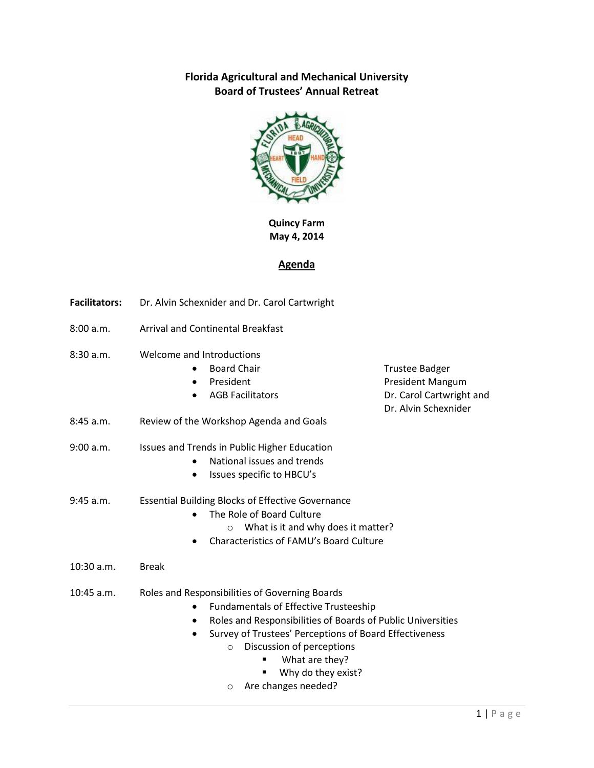## **Florida Agricultural and Mechanical University Board of Trustees' Annual Retreat**



**Quincy Farm May 4, 2014**

## **Agenda**

- **Facilitators:** Dr. Alvin Schexnider and Dr. Carol Cartwright
- 8:00 a.m. Arrival and Continental Breakfast
- 8:30 a.m. Welcome and Introductions
	-
	-
	-
	- Board Chair **Trustee Badger** President **President Mangum** AGB Facilitators **Dr. Carol Cartwright and** Dr. Alvin Schexnider
- 8:45 a.m. Review of the Workshop Agenda and Goals
- 9:00 a.m. Issues and Trends in Public Higher Education
	- National issues and trends
	- Issues specific to HBCU's
- 9:45 a.m. Essential Building Blocks of Effective Governance
	- The Role of Board Culture
		- o What is it and why does it matter?
	- Characteristics of FAMU's Board Culture
- 10:30 a.m. Break
- 10:45 a.m. Roles and Responsibilities of Governing Boards
	- Fundamentals of Effective Trusteeship
	- Roles and Responsibilities of Boards of Public Universities
	- Survey of Trustees' Perceptions of Board Effectiveness
		- o Discussion of perceptions
			- What are they?
				- Why do they exist?
		- o Are changes needed?